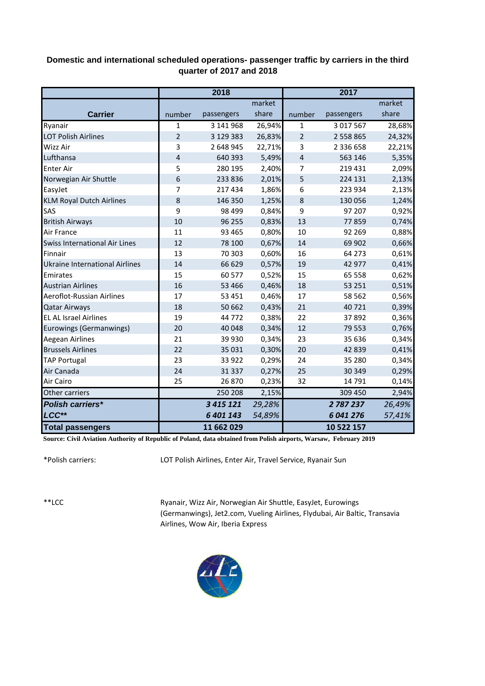## **Domestic and international scheduled operations- passenger traffic by carriers in the third quarter of 2017 and 2018**

|                                       |                | 2018          |        |                         | 2017          |        |
|---------------------------------------|----------------|---------------|--------|-------------------------|---------------|--------|
|                                       |                |               | market |                         |               | market |
| <b>Carrier</b>                        | number         | passengers    | share  | number                  | passengers    | share  |
| Ryanair                               | 1              | 3 141 968     | 26,94% | 1                       | 3 017 567     | 28,68% |
| <b>LOT Polish Airlines</b>            | $\overline{2}$ | 3 129 383     | 26,83% | $\overline{2}$          | 2 558 865     | 24,32% |
| Wizz Air                              | 3              | 2 648 945     | 22,71% | 3                       | 2 3 3 6 6 5 8 | 22,21% |
| Lufthansa                             | $\overline{4}$ | 640 393       | 5,49%  | $\overline{\mathbf{4}}$ | 563 146       | 5,35%  |
| <b>Enter Air</b>                      | 5              | 280 195       | 2,40%  | 7                       | 219 431       | 2,09%  |
| Norwegian Air Shuttle                 | 6              | 233 836       | 2,01%  | 5                       | 224 131       | 2,13%  |
| EasyJet                               | 7              | 217 434       | 1,86%  | 6                       | 223 934       | 2,13%  |
| <b>KLM Royal Dutch Airlines</b>       | 8              | 146 350       | 1,25%  | 8                       | 130 056       | 1,24%  |
| SAS                                   | 9              | 98 499        | 0,84%  | 9                       | 97 207        | 0,92%  |
| <b>British Airways</b>                | 10             | 96 255        | 0,83%  | 13                      | 77859         | 0,74%  |
| Air France                            | 11             | 93 4 65       | 0,80%  | 10                      | 92 269        | 0,88%  |
| <b>Swiss International Air Lines</b>  | 12             | 78 100        | 0,67%  | 14                      | 69 902        | 0,66%  |
| Finnair                               | 13             | 70 303        | 0,60%  | 16                      | 64 273        | 0,61%  |
| <b>Ukraine International Airlines</b> | 14             | 66 629        | 0,57%  | 19                      | 42 977        | 0,41%  |
| Emirates                              | 15             | 60 577        | 0,52%  | 15                      | 65 5 5 8      | 0,62%  |
| <b>Austrian Airlines</b>              | 16             | 53 4 66       | 0,46%  | 18                      | 53 251        | 0,51%  |
| Aeroflot-Russian Airlines             | 17             | 53 4 51       | 0,46%  | 17                      | 58 562        | 0,56%  |
| <b>Qatar Airways</b>                  | 18             | 50 662        | 0,43%  | 21                      | 40721         | 0,39%  |
| <b>EL AL Israel Airlines</b>          | 19             | 44772         | 0,38%  | 22                      | 37892         | 0,36%  |
| Eurowings (Germanwings)               | 20             | 40 048        | 0,34%  | 12                      | 79 5 53       | 0,76%  |
| <b>Aegean Airlines</b>                | 21             | 39 930        | 0,34%  | 23                      | 35 636        | 0,34%  |
| <b>Brussels Airlines</b>              | 22             | 35 0 31       | 0,30%  | 20                      | 42 839        | 0,41%  |
| <b>TAP Portugal</b>                   | 23             | 33 9 22       | 0,29%  | 24                      | 35 280        | 0,34%  |
| Air Canada                            | 24             | 31 337        | 0,27%  | 25                      | 30 349        | 0,29%  |
| Air Cairo                             | 25             | 26 870        | 0,23%  | 32                      | 14791         | 0,14%  |
| Other carriers                        |                | 250 208       | 2,15%  |                         | 309 450       | 2,94%  |
| <b>Polish carriers*</b>               |                | 3 4 1 5 1 2 1 | 29,28% |                         | 2787237       | 26,49% |
| LCC**                                 |                | 6 401 143     | 54,89% |                         | 6041276       | 57,41% |
| <b>Total passengers</b>               |                | 11 662 029    |        |                         | 10 522 157    |        |

**Source: Civil Aviation Authority of Republic of Poland, data obtained from Polish airports, Warsaw, February 2019**

\*Polish carriers:

LOT Polish Airlines, Enter Air, Travel Service, Ryanair Sun

\*\*LCC

Ryanair, Wizz Air, Norwegian Air Shuttle, EasyJet, Eurowings (Germanwings), Jet2.com, Vueling Airlines, Flydubai, Air Baltic, Transavia Airlines, Wow Air, Iberia Express